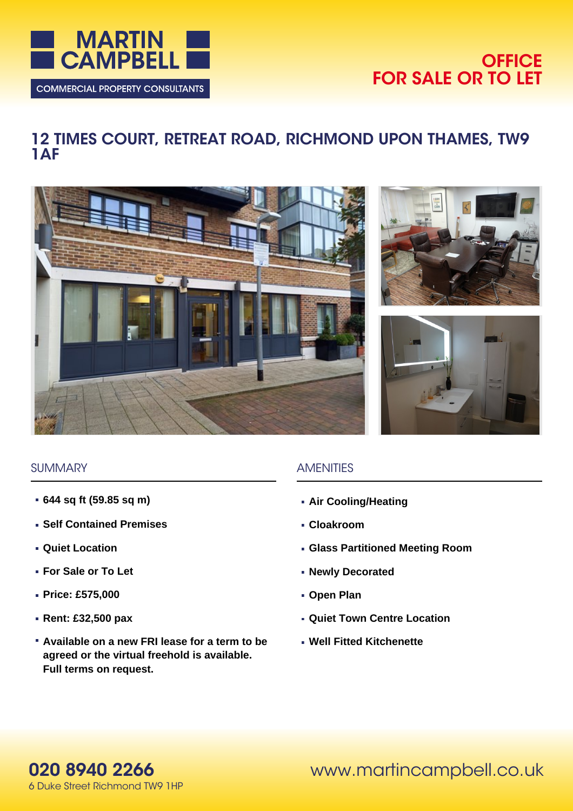

# **OFFICE FOR SALE OR TO LET**

# **12 TIMES COURT, RETREAT ROAD, RICHMOND UPON THAMES, TW9 1AF**







#### **SUMMARY**

- **644 sq ft (59.85 sq m)**
- **Self Contained Premises**
- **Quiet Location**
- **For Sale or To Let**
- **Price: £575,000**
- **Rent: £32,500 pax**
- **Available on a new FRI lease for a term to be agreed or the virtual freehold is available. Full terms on request.**

# AMENITIES

- **Air Cooling/Heating**
- **Cloakroom**
- **Glass Partitioned Meeting Room**
- **Newly Decorated**
- **Open Plan**
- **Quiet Town Centre Location**
- **Well Fitted Kitchenette**

www.martincampbell.co.uk

**020 8940 2266** 6 Duke Street Richmond TW9 1HP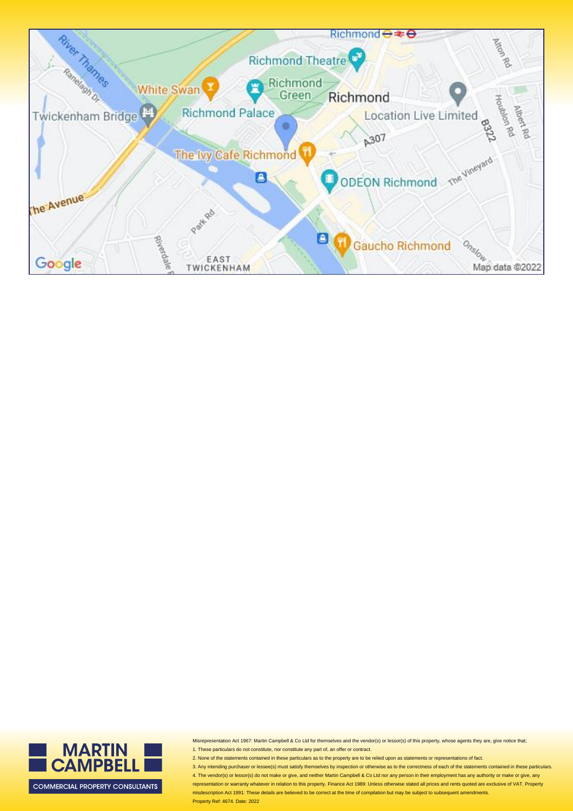

Misrepresentation Act 1967: Martin Campbell & Co Ltd for themselves and the vendor(s) or lessor(s) of this property, whose agents they are, give notice that; 1. These particulars do not constitute, nor constitute any part of, an offer or contract.

2. None of the statements contained in these particulars as to the property are to be relied upon as statements or representations of fact.

3. Any intending purchaser or lessee(s) must satisfy themselves by inspection or otherwise as to the correctness of each of the statements contained in these particulars 4. The vendor(s) or lessor(s) do not make or give, and neither Martin Campbell & Co Ltd nor any person in their employment has any authority or make or give, any representation or warranty whatever in relation to this property. Finance Act 1989: Unless otherwise stated all prices and rents quoted are exclusive of VAT. Property misdescription Act 1991: These details are believed to be correct at the time of compilation but may be subject to subsequent amendments.



MARTIN<br>CAMPBELL

**COMMERCIAL PROPERTY CONSULTANTS**